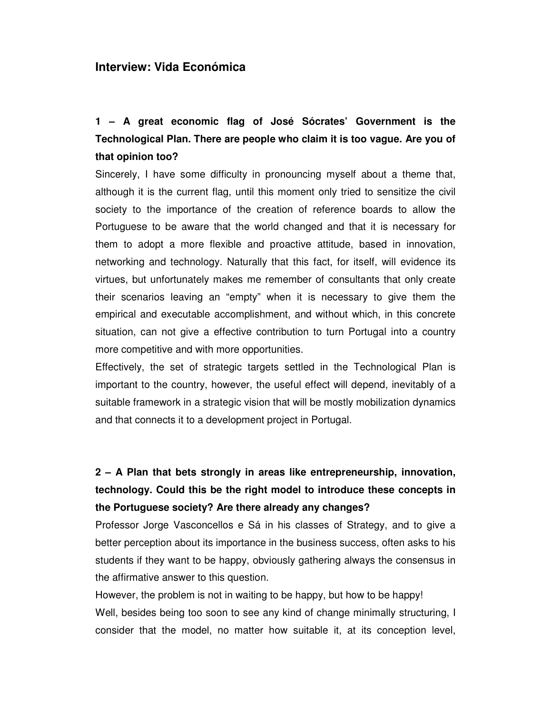#### **Interview: Vida Económica**

**1 – A great economic flag of José Sócrates' Government is the Technological Plan. There are people who claim it is too vague. Are you of that opinion too?**

Sincerely, I have some difficulty in pronouncing myself about a theme that, although it is the current flag, until this moment only tried to sensitize the civil society to the importance of the creation of reference boards to allow the Portuguese to be aware that the world changed and that it is necessary for them to adopt a more flexible and proactive attitude, based in innovation, networking and technology. Naturally that this fact, for itself, will evidence its virtues, but unfortunately makes me remember of consultants that only create their scenarios leaving an "empty" when it is necessary to give them the empirical and executable accomplishment, and without which, in this concrete situation, can not give a effective contribution to turn Portugal into a country more competitive and with more opportunities.

Effectively, the set of strategic targets settled in the Technological Plan is important to the country, however, the useful effect will depend, inevitably of a suitable framework in a strategic vision that will be mostly mobilization dynamics and that connects it to a development project in Portugal.

# **2 – A Plan that bets strongly in areas like entrepreneurship, innovation, technology. Could this be the right model to introduce these concepts in the Portuguese society? Are there already any changes?**

Professor Jorge Vasconcellos e Sá in his classes of Strategy, and to give a better perception about its importance in the business success, often asks to his students if they want to be happy, obviously gathering always the consensus in the affirmative answer to this question.

However, the problem is not in waiting to be happy, but how to be happy! Well, besides being too soon to see any kind of change minimally structuring, I consider that the model, no matter how suitable it, at its conception level,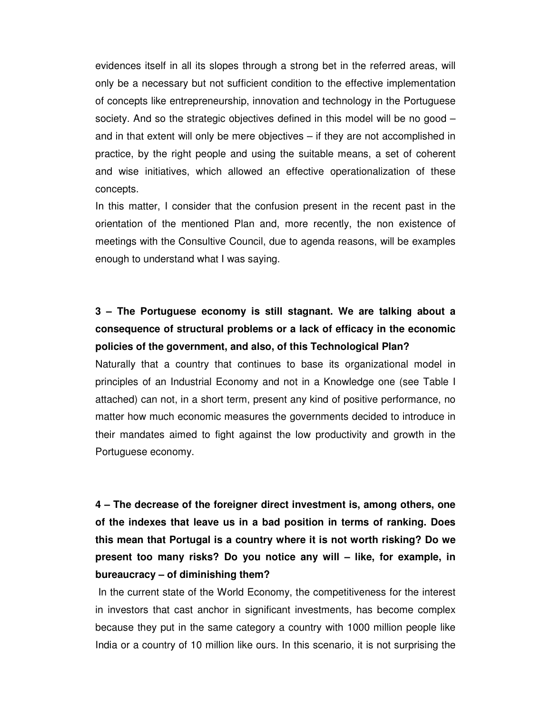evidences itself in all its slopes through a strong bet in the referred areas, will only be a necessary but not sufficient condition to the effective implementation of concepts like entrepreneurship, innovation and technology in the Portuguese society. And so the strategic objectives defined in this model will be no good – and in that extent will only be mere objectives – if they are not accomplished in practice, by the right people and using the suitable means, a set of coherent and wise initiatives, which allowed an effective operationalization of these concepts.

In this matter, I consider that the confusion present in the recent past in the orientation of the mentioned Plan and, more recently, the non existence of meetings with the Consultive Council, due to agenda reasons, will be examples enough to understand what I was saying.

# **3 – The Portuguese economy is still stagnant. We are talking about a consequence of structural problems or a lack of efficacy in the economic policies of the government, and also, of this Technological Plan?**

Naturally that a country that continues to base its organizational model in principles of an Industrial Economy and not in a Knowledge one (see Table I attached) can not, in a short term, present any kind of positive performance, no matter how much economic measures the governments decided to introduce in their mandates aimed to fight against the low productivity and growth in the Portuguese economy.

**4 – The decrease of the foreigner direct investment is, among others, one of the indexes that leave us in a bad position in terms of ranking. Does this mean that Portugal is a country where it is not worth risking? Do we present too many risks? Do you notice any will – like, for example, in bureaucracy – of diminishing them?**

In the current state of the World Economy, the competitiveness for the interest in investors that cast anchor in significant investments, has become complex because they put in the same category a country with 1000 million people like India or a country of 10 million like ours. In this scenario, it is not surprising the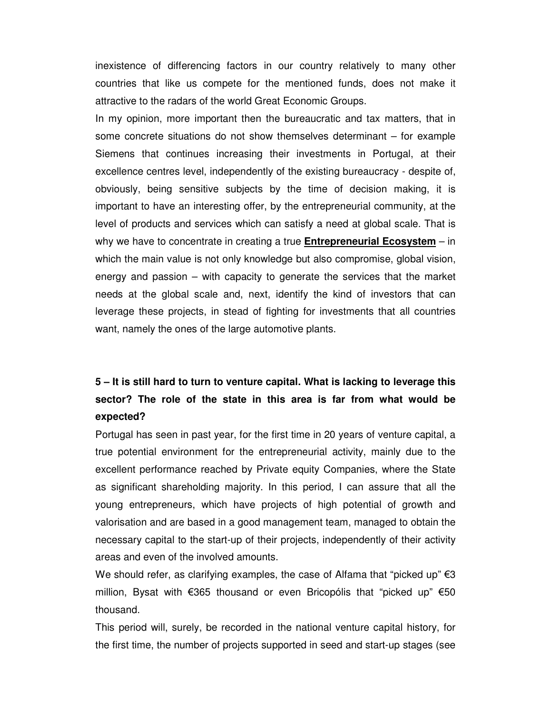inexistence of differencing factors in our country relatively to many other countries that like us compete for the mentioned funds, does not make it attractive to the radars of the world Great Economic Groups.

In my opinion, more important then the bureaucratic and tax matters, that in some concrete situations do not show themselves determinant – for example Siemens that continues increasing their investments in Portugal, at their excellence centres level, independently of the existing bureaucracy - despite of, obviously, being sensitive subjects by the time of decision making, it is important to have an interesting offer, by the entrepreneurial community, at the level of products and services which can satisfy a need at global scale. That is why we have to concentrate in creating a true **Entrepreneurial Ecosystem** – in which the main value is not only knowledge but also compromise, global vision, energy and passion – with capacity to generate the services that the market needs at the global scale and, next, identify the kind of investors that can leverage these projects, in stead of fighting for investments that all countries want, namely the ones of the large automotive plants.

### **5 – It is still hard to turn to venture capital. What is lacking to leverage this sector? The role of the state in this area is far from what would be expected?**

Portugal has seen in past year, for the first time in 20 years of venture capital, a true potential environment for the entrepreneurial activity, mainly due to the excellent performance reached by Private equity Companies, where the State as significant shareholding majority. In this period, I can assure that all the young entrepreneurs, which have projects of high potential of growth and valorisation and are based in a good management team, managed to obtain the necessary capital to the start-up of their projects, independently of their activity areas and even of the involved amounts.

We should refer, as clarifying examples, the case of Alfama that "picked up"  $\epsilon$ 3 million, Bysat with  $\epsilon$ 365 thousand or even Bricopólis that "picked up"  $\epsilon$ 50 thousand.

This period will, surely, be recorded in the national venture capital history, for the first time, the number of projects supported in seed and start-up stages (see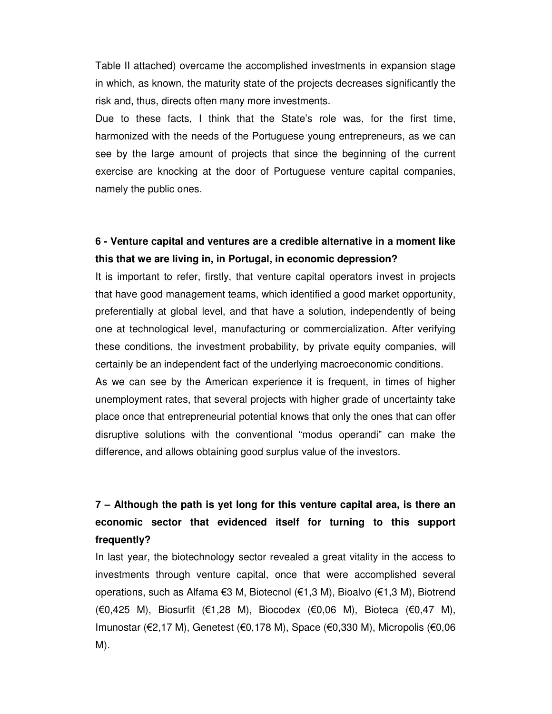Table II attached) overcame the accomplished investments in expansion stage in which, as known, the maturity state of the projects decreases significantly the risk and, thus, directs often many more investments.

Due to these facts, I think that the State's role was, for the first time, harmonized with the needs of the Portuguese young entrepreneurs, as we can see by the large amount of projects that since the beginning of the current exercise are knocking at the door of Portuguese venture capital companies, namely the public ones.

### **6 - Venture capital and ventures are a credible alternative in a moment like this that we are living in, in Portugal, in economic depression?**

It is important to refer, firstly, that venture capital operators invest in projects that have good management teams, which identified a good market opportunity, preferentially at global level, and that have a solution, independently of being one at technological level, manufacturing or commercialization. After verifying these conditions, the investment probability, by private equity companies, will certainly be an independent fact of the underlying macroeconomic conditions.

As we can see by the American experience it is frequent, in times of higher unemployment rates, that several projects with higher grade of uncertainty take place once that entrepreneurial potential knows that only the ones that can offer disruptive solutions with the conventional "modus operandi" can make the difference, and allows obtaining good surplus value of the investors.

### **7 – Although the path is yet long for this venture capital area, is there an economic sector that evidenced itself for turning to this support frequently?**

In last year, the biotechnology sector revealed a great vitality in the access to investments through venture capital, once that were accomplished several operations, such as Alfama €3 M, Biotecnol (€1,3 M), Bioalvo (€1,3 M), Biotrend  $(€0,425 M)$ , Biosurfit  $(€1,28 M)$ , Biocodex  $(€0,06 M)$ , Bioteca  $(€0,47 M)$ , Imunostar ( $\epsilon$ 2,17 M), Genetest ( $\epsilon$ 0,178 M), Space ( $\epsilon$ 0,330 M), Micropolis ( $\epsilon$ 0,06 M).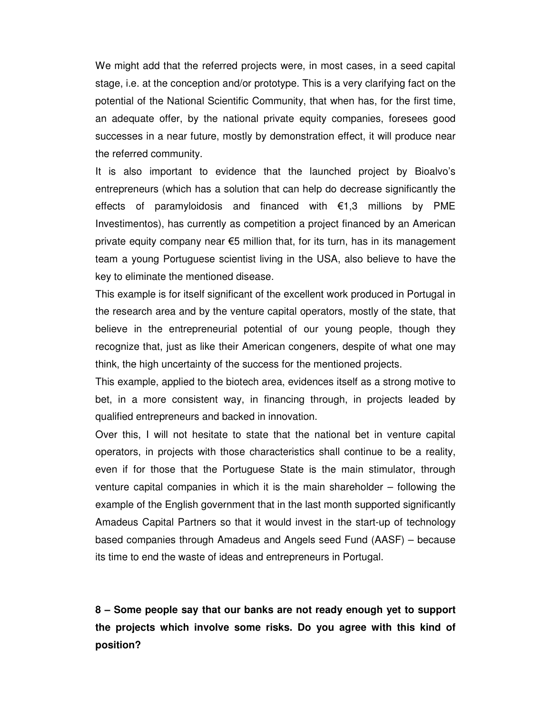We might add that the referred projects were, in most cases, in a seed capital stage, i.e. at the conception and/or prototype. This is a very clarifying fact on the potential of the National Scientific Community, that when has, for the first time, an adequate offer, by the national private equity companies, foresees good successes in a near future, mostly by demonstration effect, it will produce near the referred community.

It is also important to evidence that the launched project by Bioalvo's entrepreneurs (which has a solution that can help do decrease significantly the effects of paramyloidosis and financed with  $\epsilon$ 1,3 millions by PME Investimentos), has currently as competition a project financed by an American private equity company near  $\epsilon$ 5 million that, for its turn, has in its management team a young Portuguese scientist living in the USA, also believe to have the key to eliminate the mentioned disease.

This example is for itself significant of the excellent work produced in Portugal in the research area and by the venture capital operators, mostly of the state, that believe in the entrepreneurial potential of our young people, though they recognize that, just as like their American congeners, despite of what one may think, the high uncertainty of the success for the mentioned projects.

This example, applied to the biotech area, evidences itself as a strong motive to bet, in a more consistent way, in financing through, in projects leaded by qualified entrepreneurs and backed in innovation.

Over this, I will not hesitate to state that the national bet in venture capital operators, in projects with those characteristics shall continue to be a reality, even if for those that the Portuguese State is the main stimulator, through venture capital companies in which it is the main shareholder – following the example of the English government that in the last month supported significantly Amadeus Capital Partners so that it would invest in the start-up of technology based companies through Amadeus and Angels seed Fund (AASF) – because its time to end the waste of ideas and entrepreneurs in Portugal.

**8 – Some people say that our banks are not ready enough yet to support the projects which involve some risks. Do you agree with this kind of position?**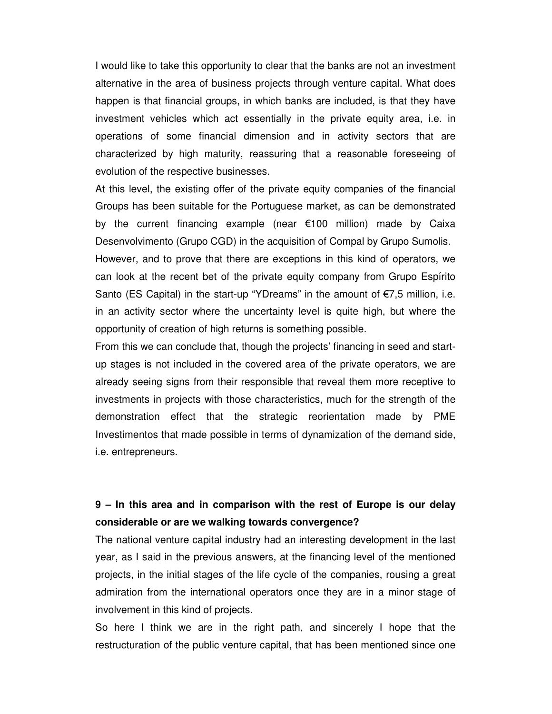I would like to take this opportunity to clear that the banks are not an investment alternative in the area of business projects through venture capital. What does happen is that financial groups, in which banks are included, is that they have investment vehicles which act essentially in the private equity area, i.e. in operations of some financial dimension and in activity sectors that are characterized by high maturity, reassuring that a reasonable foreseeing of evolution of the respective businesses.

At this level, the existing offer of the private equity companies of the financial Groups has been suitable for the Portuguese market, as can be demonstrated by the current financing example (near  $\epsilon$ 100 million) made by Caixa Desenvolvimento (Grupo CGD) in the acquisition of Compal by Grupo Sumolis.

However, and to prove that there are exceptions in this kind of operators, we can look at the recent bet of the private equity company from Grupo Espírito Santo (ES Capital) in the start-up "YDreams" in the amount of  $\epsilon$ 7,5 million, i.e. in an activity sector where the uncertainty level is quite high, but where the opportunity of creation of high returns is something possible.

From this we can conclude that, though the projects' financing in seed and startup stages is not included in the covered area of the private operators, we are already seeing signs from their responsible that reveal them more receptive to investments in projects with those characteristics, much for the strength of the demonstration effect that the strategic reorientation made by PME Investimentos that made possible in terms of dynamization of the demand side, i.e. entrepreneurs.

### **9 – In this area and in comparison with the rest of Europe is our delay considerable or are we walking towards convergence?**

The national venture capital industry had an interesting development in the last year, as I said in the previous answers, at the financing level of the mentioned projects, in the initial stages of the life cycle of the companies, rousing a great admiration from the international operators once they are in a minor stage of involvement in this kind of projects.

So here I think we are in the right path, and sincerely I hope that the restructuration of the public venture capital, that has been mentioned since one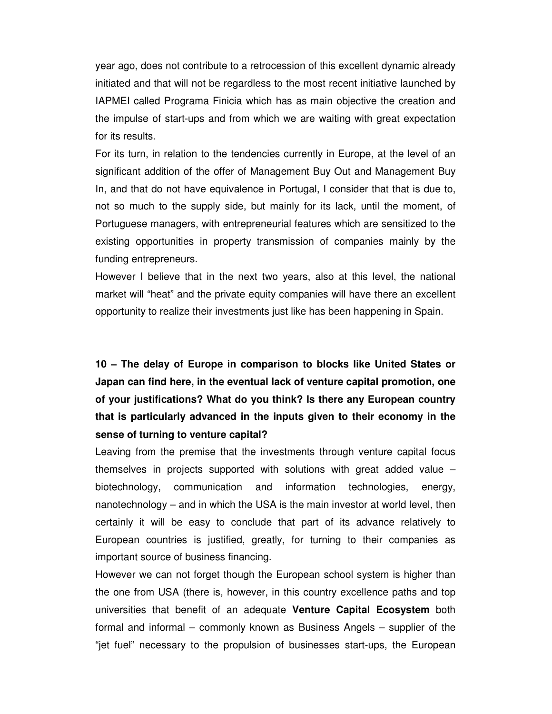year ago, does not contribute to a retrocession of this excellent dynamic already initiated and that will not be regardless to the most recent initiative launched by IAPMEI called Programa Finicia which has as main objective the creation and the impulse of start-ups and from which we are waiting with great expectation for its results.

For its turn, in relation to the tendencies currently in Europe, at the level of an significant addition of the offer of Management Buy Out and Management Buy In, and that do not have equivalence in Portugal, I consider that that is due to, not so much to the supply side, but mainly for its lack, until the moment, of Portuguese managers, with entrepreneurial features which are sensitized to the existing opportunities in property transmission of companies mainly by the funding entrepreneurs.

However I believe that in the next two years, also at this level, the national market will "heat" and the private equity companies will have there an excellent opportunity to realize their investments just like has been happening in Spain.

**10 – The delay of Europe in comparison to blocks like United States or Japan can find here, in the eventual lack of venture capital promotion, one of your justifications? What do you think? Is there any European country that is particularly advanced in the inputs given to their economy in the sense of turning to venture capital?**

Leaving from the premise that the investments through venture capital focus themselves in projects supported with solutions with great added value – biotechnology, communication and information technologies, energy, nanotechnology – and in which the USA is the main investor at world level, then certainly it will be easy to conclude that part of its advance relatively to European countries is justified, greatly, for turning to their companies as important source of business financing.

However we can not forget though the European school system is higher than the one from USA (there is, however, in this country excellence paths and top universities that benefit of an adequate **Venture Capital Ecosystem** both formal and informal – commonly known as Business Angels – supplier of the "jet fuel" necessary to the propulsion of businesses start-ups, the European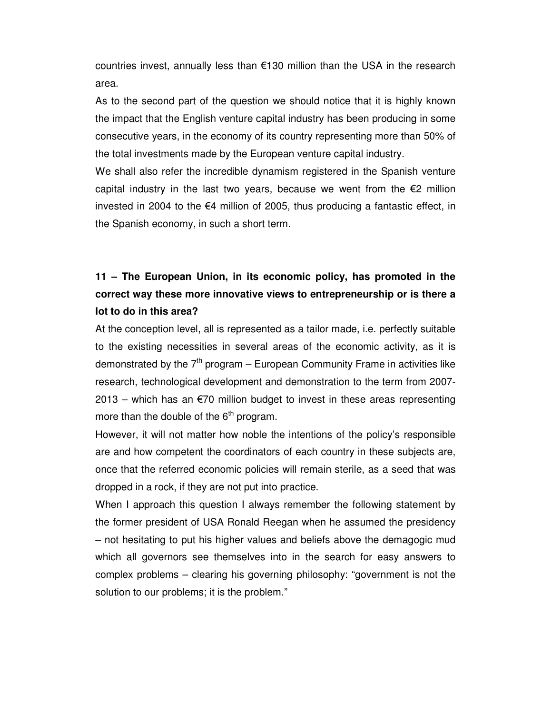countries invest, annually less than  $\epsilon$ 130 million than the USA in the research area.

As to the second part of the question we should notice that it is highly known the impact that the English venture capital industry has been producing in some consecutive years, in the economy of its country representing more than 50% of the total investments made by the European venture capital industry.

We shall also refer the incredible dynamism registered in the Spanish venture capital industry in the last two years, because we went from the  $\epsilon$ 2 million invested in 2004 to the  $\epsilon$ 4 million of 2005, thus producing a fantastic effect, in the Spanish economy, in such a short term.

### **11 – The European Union, in its economic policy, has promoted in the correct way these more innovative views to entrepreneurship or is there a lot to do in this area?**

At the conception level, all is represented as a tailor made, i.e. perfectly suitable to the existing necessities in several areas of the economic activity, as it is demonstrated by the 7<sup>th</sup> program – European Community Frame in activities like research, technological development and demonstration to the term from 2007-  $2013$  – which has an  $\epsilon$ 70 million budget to invest in these areas representing more than the double of the  $6^{\text{th}}$  program.

However, it will not matter how noble the intentions of the policy's responsible are and how competent the coordinators of each country in these subjects are, once that the referred economic policies will remain sterile, as a seed that was dropped in a rock, if they are not put into practice.

When I approach this question I always remember the following statement by the former president of USA Ronald Reegan when he assumed the presidency – not hesitating to put his higher values and beliefs above the demagogic mud which all governors see themselves into in the search for easy answers to complex problems – clearing his governing philosophy: "government is not the solution to our problems; it is the problem."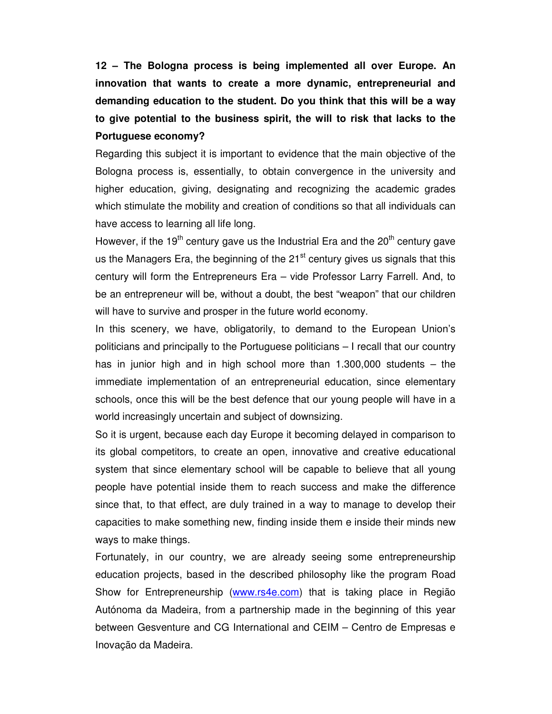**12 – The Bologna process is being implemented all over Europe. An innovation that wants to create a more dynamic, entrepreneurial and demanding education to the student. Do you think that this will be a way to give potential to the business spirit, the will to risk that lacks to the Portuguese economy?**

Regarding this subject it is important to evidence that the main objective of the Bologna process is, essentially, to obtain convergence in the university and higher education, giving, designating and recognizing the academic grades which stimulate the mobility and creation of conditions so that all individuals can have access to learning all life long.

However, if the 19<sup>th</sup> century gave us the Industrial Era and the 20<sup>th</sup> century gave us the Managers Era, the beginning of the 21<sup>st</sup> century gives us signals that this century will form the Entrepreneurs Era – vide Professor Larry Farrell. And, to be an entrepreneur will be, without a doubt, the best "weapon" that our children will have to survive and prosper in the future world economy.

In this scenery, we have, obligatorily, to demand to the European Union's politicians and principally to the Portuguese politicians – I recall that our country has in junior high and in high school more than 1.300,000 students – the immediate implementation of an entrepreneurial education, since elementary schools, once this will be the best defence that our young people will have in a world increasingly uncertain and subject of downsizing.

So it is urgent, because each day Europe it becoming delayed in comparison to its global competitors, to create an open, innovative and creative educational system that since elementary school will be capable to believe that all young people have potential inside them to reach success and make the difference since that, to that effect, are duly trained in a way to manage to develop their capacities to make something new, finding inside them e inside their minds new ways to make things.

Fortunately, in our country, we are already seeing some entrepreneurship education projects, based in the described philosophy like the program Road Show for Entrepreneurship (www.rs4e.com) that is taking place in Região Autónoma da Madeira, from a partnership made in the beginning of this year between Gesventure and CG International and CEIM – Centro de Empresas e Inovação da Madeira.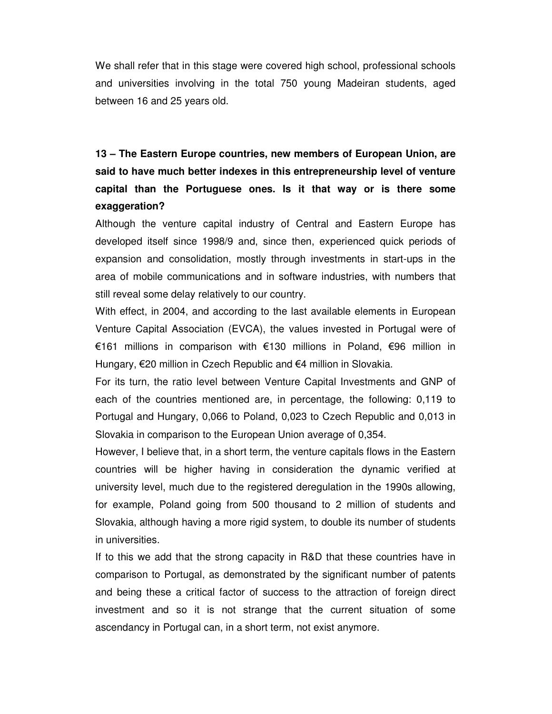We shall refer that in this stage were covered high school, professional schools and universities involving in the total 750 young Madeiran students, aged between 16 and 25 years old.

**13 – The Eastern Europe countries, new members of European Union, are said to have much better indexes in this entrepreneurship level of venture capital than the Portuguese ones. Is it that way or is there some exaggeration?**

Although the venture capital industry of Central and Eastern Europe has developed itself since 1998/9 and, since then, experienced quick periods of expansion and consolidation, mostly through investments in start-ups in the area of mobile communications and in software industries, with numbers that still reveal some delay relatively to our country.

With effect, in 2004, and according to the last available elements in European Venture Capital Association (EVCA), the values invested in Portugal were of €161 millions in comparison with €130 millions in Poland, €96 million in Hungary,  $E$ 20 million in Czech Republic and  $E$ 4 million in Slovakia.

For its turn, the ratio level between Venture Capital Investments and GNP of each of the countries mentioned are, in percentage, the following: 0,119 to Portugal and Hungary, 0,066 to Poland, 0,023 to Czech Republic and 0,013 in Slovakia in comparison to the European Union average of 0,354.

However, I believe that, in a short term, the venture capitals flows in the Eastern countries will be higher having in consideration the dynamic verified at university level, much due to the registered deregulation in the 1990s allowing, for example, Poland going from 500 thousand to 2 million of students and Slovakia, although having a more rigid system, to double its number of students in universities.

If to this we add that the strong capacity in R&D that these countries have in comparison to Portugal, as demonstrated by the significant number of patents and being these a critical factor of success to the attraction of foreign direct investment and so it is not strange that the current situation of some ascendancy in Portugal can, in a short term, not exist anymore.